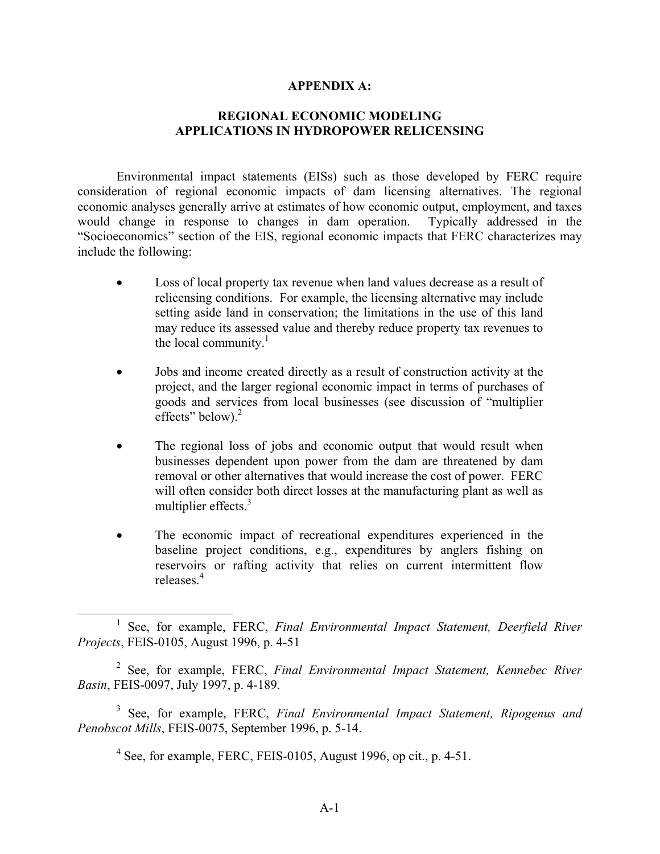#### **APPENDIX A:**

### **REGIONAL ECONOMIC MODELING APPLICATIONS IN HYDROPOWER RELICENSING**

 Environmental impact statements (EISs) such as those developed by FERC require consideration of regional economic impacts of dam licensing alternatives. The regional economic analyses generally arrive at estimates of how economic output, employment, and taxes would change in response to changes in dam operation. Typically addressed in the "Socioeconomics" section of the EIS, regional economic impacts that FERC characterizes may include the following:

- Loss of local property tax revenue when land values decrease as a result of relicensing conditions. For example, the licensing alternative may include setting aside land in conservation; the limitations in the use of this land may reduce its assessed value and thereby reduce property tax revenues to the local community. $\frac{1}{1}$
- Jobs and income created directly as a result of construction activity at the project, and the larger regional economic impact in terms of purchases of goods and services from local businesses (see discussion of "multiplier effects" below). $2$
- The regional loss of jobs and economic output that would result when businesses dependent upon power from the dam are threatened by dam removal or other alternatives that would increase the cost of power. FERC will often consider both direct losses at the manufacturing plant as well as multiplier effects.<sup>3</sup>
- The economic impact of recreational expenditures experienced in the baseline project conditions, e.g., expenditures by anglers fishing on reservoirs or rafting activity that relies on current intermittent flow releases.<sup>4</sup>

3 See, for example, FERC, *Final Environmental Impact Statement, Ripogenus and Penobscot Mills*, FEIS-0075, September 1996, p. 5-14.

 $4$  See, for example, FERC, FEIS-0105, August 1996, op cit., p. 4-51.

<sup>&</sup>lt;u>1</u> <sup>1</sup> See, for example, FERC, *Final Environmental Impact Statement*, *Deerfield River Projects*, FEIS-0105, August 1996, p. 4-51

<sup>2</sup> See, for example, FERC, *Final Environmental Impact Statement, Kennebec River Basin*, FEIS-0097, July 1997, p. 4-189.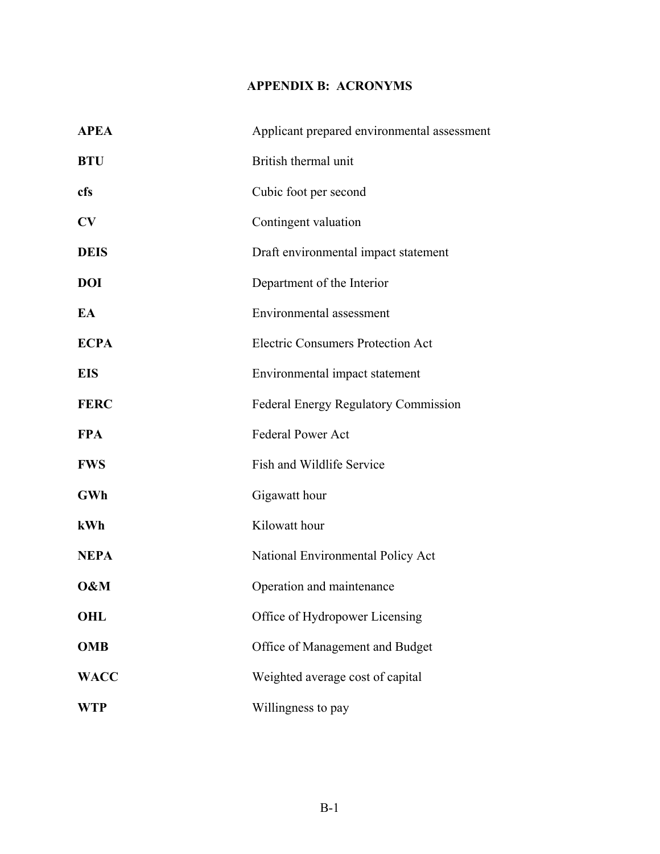# **APPENDIX B: ACRONYMS**

| <b>APEA</b> | Applicant prepared environmental assessment |
|-------------|---------------------------------------------|
| <b>BTU</b>  | British thermal unit                        |
| cfs         | Cubic foot per second                       |
| CV          | Contingent valuation                        |
| <b>DEIS</b> | Draft environmental impact statement        |
| <b>DOI</b>  | Department of the Interior                  |
| EA          | Environmental assessment                    |
| <b>ECPA</b> | <b>Electric Consumers Protection Act</b>    |
| <b>EIS</b>  | Environmental impact statement              |
| <b>FERC</b> | <b>Federal Energy Regulatory Commission</b> |
| <b>FPA</b>  | <b>Federal Power Act</b>                    |
| <b>FWS</b>  | Fish and Wildlife Service                   |
| <b>GWh</b>  | Gigawatt hour                               |
| kWh         | Kilowatt hour                               |
| <b>NEPA</b> | National Environmental Policy Act           |
| O&M         | Operation and maintenance                   |
| <b>OHL</b>  | Office of Hydropower Licensing              |
| <b>OMB</b>  | Office of Management and Budget             |
| <b>WACC</b> | Weighted average cost of capital            |
| WTP         | Willingness to pay                          |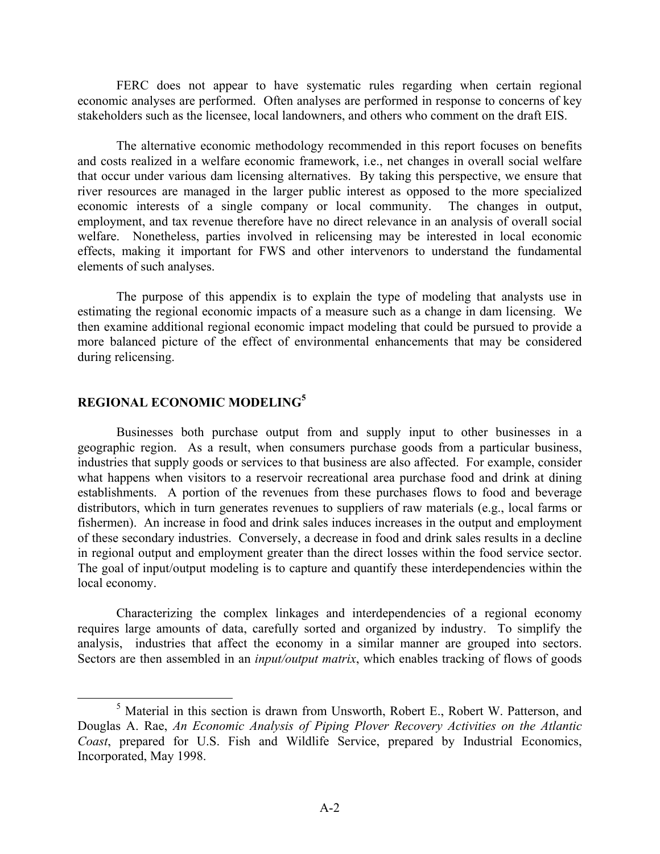FERC does not appear to have systematic rules regarding when certain regional economic analyses are performed. Often analyses are performed in response to concerns of key stakeholders such as the licensee, local landowners, and others who comment on the draft EIS.

The alternative economic methodology recommended in this report focuses on benefits and costs realized in a welfare economic framework, i.e., net changes in overall social welfare that occur under various dam licensing alternatives. By taking this perspective, we ensure that river resources are managed in the larger public interest as opposed to the more specialized economic interests of a single company or local community. The changes in output, employment, and tax revenue therefore have no direct relevance in an analysis of overall social welfare. Nonetheless, parties involved in relicensing may be interested in local economic effects, making it important for FWS and other intervenors to understand the fundamental elements of such analyses.

 The purpose of this appendix is to explain the type of modeling that analysts use in estimating the regional economic impacts of a measure such as a change in dam licensing. We then examine additional regional economic impact modeling that could be pursued to provide a more balanced picture of the effect of environmental enhancements that may be considered during relicensing.

## **REGIONAL ECONOMIC MODELING<sup>5</sup>**

Businesses both purchase output from and supply input to other businesses in a geographic region. As a result, when consumers purchase goods from a particular business, industries that supply goods or services to that business are also affected. For example, consider what happens when visitors to a reservoir recreational area purchase food and drink at dining establishments. A portion of the revenues from these purchases flows to food and beverage distributors, which in turn generates revenues to suppliers of raw materials (e.g., local farms or fishermen). An increase in food and drink sales induces increases in the output and employment of these secondary industries. Conversely, a decrease in food and drink sales results in a decline in regional output and employment greater than the direct losses within the food service sector. The goal of input/output modeling is to capture and quantify these interdependencies within the local economy.

Characterizing the complex linkages and interdependencies of a regional economy requires large amounts of data, carefully sorted and organized by industry. To simplify the analysis, industries that affect the economy in a similar manner are grouped into sectors. Sectors are then assembled in an *input/output matrix*, which enables tracking of flows of goods

 $\frac{1}{5}$  $5$  Material in this section is drawn from Unsworth, Robert E., Robert W. Patterson, and Douglas A. Rae, *An Economic Analysis of Piping Plover Recovery Activities on the Atlantic Coast*, prepared for U.S. Fish and Wildlife Service, prepared by Industrial Economics, Incorporated, May 1998.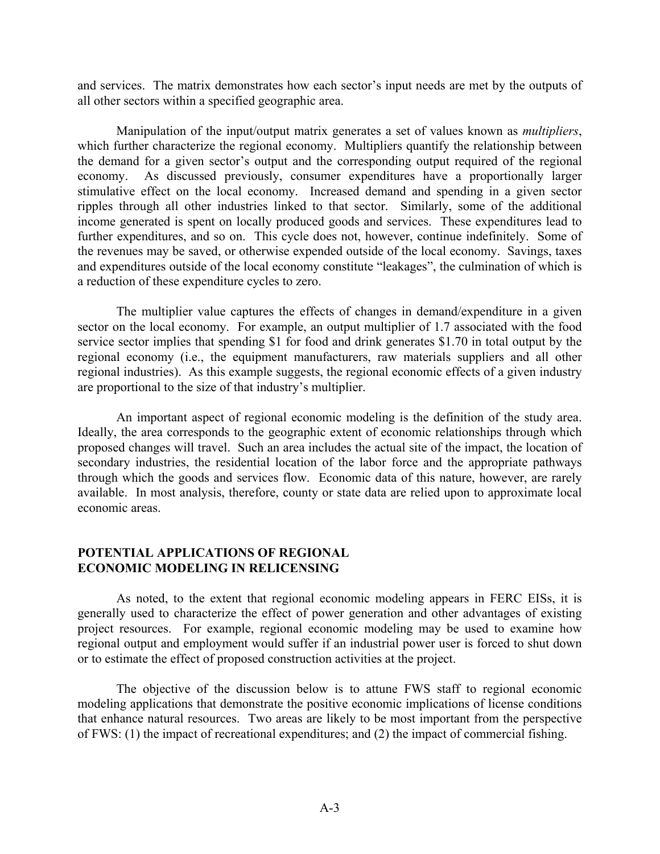and services. The matrix demonstrates how each sector's input needs are met by the outputs of all other sectors within a specified geographic area.

Manipulation of the input/output matrix generates a set of values known as *multipliers*, which further characterize the regional economy. Multipliers quantify the relationship between the demand for a given sector's output and the corresponding output required of the regional economy. As discussed previously, consumer expenditures have a proportionally larger stimulative effect on the local economy. Increased demand and spending in a given sector ripples through all other industries linked to that sector. Similarly, some of the additional income generated is spent on locally produced goods and services. These expenditures lead to further expenditures, and so on. This cycle does not, however, continue indefinitely. Some of the revenues may be saved, or otherwise expended outside of the local economy. Savings, taxes and expenditures outside of the local economy constitute "leakages", the culmination of which is a reduction of these expenditure cycles to zero.

The multiplier value captures the effects of changes in demand/expenditure in a given sector on the local economy. For example, an output multiplier of 1.7 associated with the food service sector implies that spending \$1 for food and drink generates \$1.70 in total output by the regional economy (i.e., the equipment manufacturers, raw materials suppliers and all other regional industries). As this example suggests, the regional economic effects of a given industry are proportional to the size of that industry's multiplier.

 An important aspect of regional economic modeling is the definition of the study area. Ideally, the area corresponds to the geographic extent of economic relationships through which proposed changes will travel. Such an area includes the actual site of the impact, the location of secondary industries, the residential location of the labor force and the appropriate pathways through which the goods and services flow. Economic data of this nature, however, are rarely available. In most analysis, therefore, county or state data are relied upon to approximate local economic areas.

### **POTENTIAL APPLICATIONS OF REGIONAL ECONOMIC MODELING IN RELICENSING**

 As noted, to the extent that regional economic modeling appears in FERC EISs, it is generally used to characterize the effect of power generation and other advantages of existing project resources. For example, regional economic modeling may be used to examine how regional output and employment would suffer if an industrial power user is forced to shut down or to estimate the effect of proposed construction activities at the project.

 The objective of the discussion below is to attune FWS staff to regional economic modeling applications that demonstrate the positive economic implications of license conditions that enhance natural resources. Two areas are likely to be most important from the perspective of FWS: (1) the impact of recreational expenditures; and (2) the impact of commercial fishing.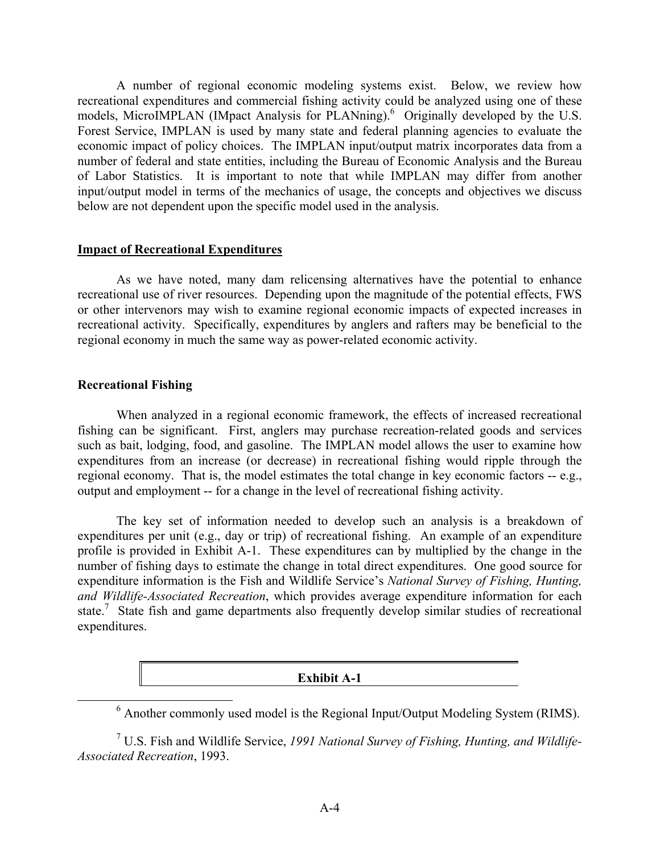A number of regional economic modeling systems exist. Below, we review how recreational expenditures and commercial fishing activity could be analyzed using one of these models, MicroIMPLAN (IMpact Analysis for PLANning).<sup>6</sup> Originally developed by the U.S. Forest Service, IMPLAN is used by many state and federal planning agencies to evaluate the economic impact of policy choices. The IMPLAN input/output matrix incorporates data from a number of federal and state entities, including the Bureau of Economic Analysis and the Bureau of Labor Statistics. It is important to note that while IMPLAN may differ from another input/output model in terms of the mechanics of usage, the concepts and objectives we discuss below are not dependent upon the specific model used in the analysis.

#### **Impact of Recreational Expenditures**

 As we have noted, many dam relicensing alternatives have the potential to enhance recreational use of river resources. Depending upon the magnitude of the potential effects, FWS or other intervenors may wish to examine regional economic impacts of expected increases in recreational activity. Specifically, expenditures by anglers and rafters may be beneficial to the regional economy in much the same way as power-related economic activity.

### **Recreational Fishing**

 When analyzed in a regional economic framework, the effects of increased recreational fishing can be significant. First, anglers may purchase recreation-related goods and services such as bait, lodging, food, and gasoline. The IMPLAN model allows the user to examine how expenditures from an increase (or decrease) in recreational fishing would ripple through the regional economy. That is, the model estimates the total change in key economic factors -- e.g., output and employment -- for a change in the level of recreational fishing activity.

 The key set of information needed to develop such an analysis is a breakdown of expenditures per unit (e.g., day or trip) of recreational fishing. An example of an expenditure profile is provided in Exhibit A-1. These expenditures can by multiplied by the change in the number of fishing days to estimate the change in total direct expenditures. One good source for expenditure information is the Fish and Wildlife Service's *National Survey of Fishing, Hunting, and Wildlife-Associated Recreation*, which provides average expenditure information for each state.<sup>7</sup> State fish and game departments also frequently develop similar studies of recreational expenditures.

#### **Exhibit A-1**

 <sup>6</sup> Another commonly used model is the Regional Input/Output Modeling System (RIMS).

<sup>7</sup> U.S. Fish and Wildlife Service, *1991 National Survey of Fishing, Hunting, and Wildlife-Associated Recreation*, 1993.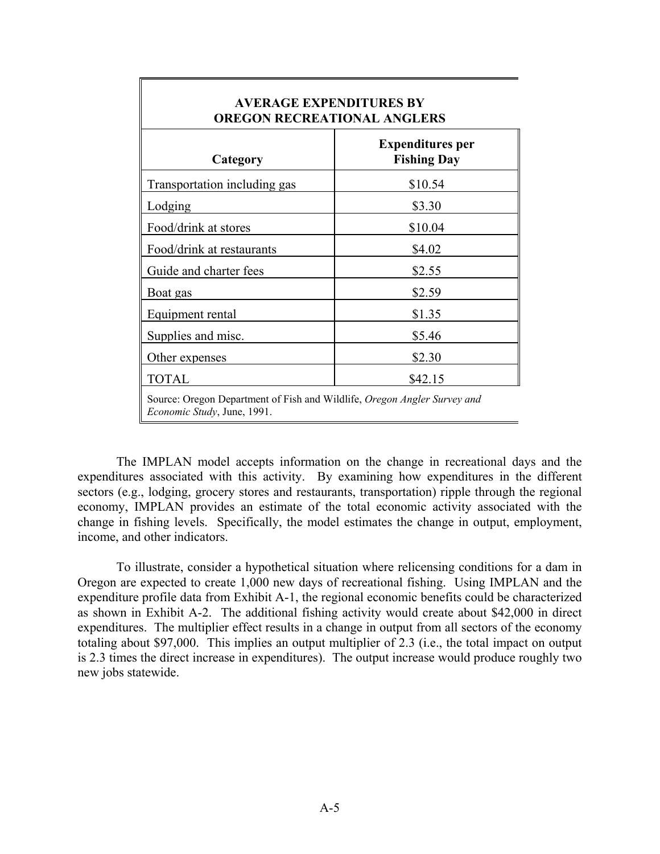| Category                     | <b>Expenditures per</b><br><b>Fishing Day</b> |
|------------------------------|-----------------------------------------------|
| Transportation including gas | \$10.54                                       |
| Lodging                      | \$3.30                                        |
| Food/drink at stores         | \$10.04                                       |
| Food/drink at restaurants    | \$4.02                                        |
| Guide and charter fees       | \$2.55                                        |
| Boat gas                     | \$2.59                                        |
| Equipment rental             | \$1.35                                        |
| Supplies and misc.           | \$5.46                                        |
| Other expenses               | \$2.30                                        |
| <b>TOTAL</b>                 | \$42.15                                       |

### **AVERAGE EXPENDITURES BY OREGON RECREATIONAL ANGLERS**

 The IMPLAN model accepts information on the change in recreational days and the expenditures associated with this activity. By examining how expenditures in the different sectors (e.g., lodging, grocery stores and restaurants, transportation) ripple through the regional economy, IMPLAN provides an estimate of the total economic activity associated with the change in fishing levels. Specifically, the model estimates the change in output, employment, income, and other indicators.

 To illustrate, consider a hypothetical situation where relicensing conditions for a dam in Oregon are expected to create 1,000 new days of recreational fishing. Using IMPLAN and the expenditure profile data from Exhibit A-1, the regional economic benefits could be characterized as shown in Exhibit A-2. The additional fishing activity would create about \$42,000 in direct expenditures. The multiplier effect results in a change in output from all sectors of the economy totaling about \$97,000. This implies an output multiplier of 2.3 (i.e., the total impact on output is 2.3 times the direct increase in expenditures). The output increase would produce roughly two new jobs statewide.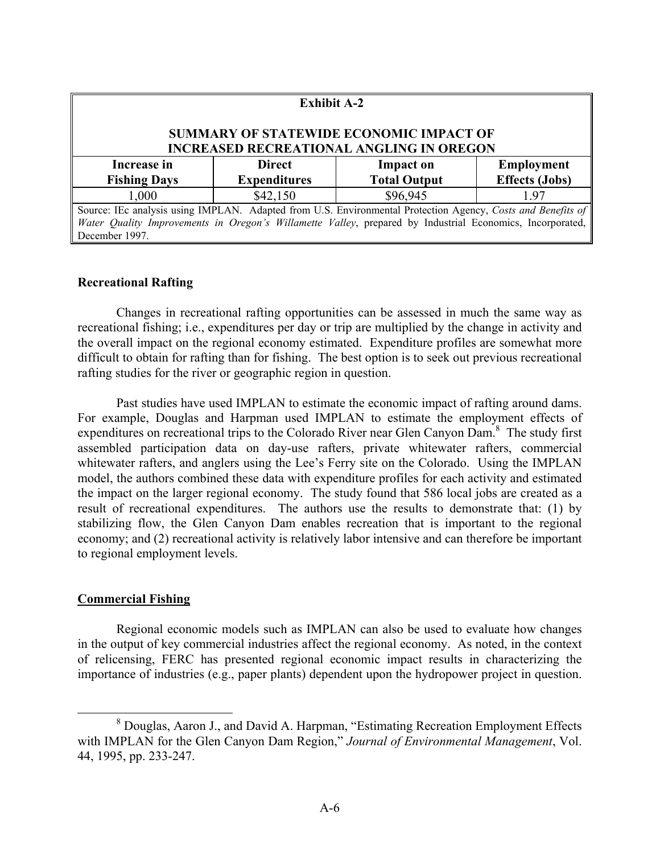| <b>Exhibit A-2</b>                                                                                                |                     |                     |                       |  |
|-------------------------------------------------------------------------------------------------------------------|---------------------|---------------------|-----------------------|--|
| SUMMARY OF STATEWIDE ECONOMIC IMPACT OF<br><b>INCREASED RECREATIONAL ANGLING IN OREGON</b>                        |                     |                     |                       |  |
| Increase in                                                                                                       | <b>Direct</b>       | <b>Impact on</b>    | <b>Employment</b>     |  |
| <b>Fishing Days</b>                                                                                               | <b>Expenditures</b> | <b>Total Output</b> | <b>Effects (Jobs)</b> |  |
| 1,000                                                                                                             | \$42,150            | \$96,945            | 1.97                  |  |
| Source: IEc analysis using IMPLAN. Adapted from U.S. Environmental Protection Agency, Costs and Benefits of       |                     |                     |                       |  |
| <i>Water Quality Improvements in Oregon's Willamette Valley</i> , prepared by Industrial Economics, Incorporated, |                     |                     |                       |  |
| December 1997.                                                                                                    |                     |                     |                       |  |

### **Recreational Rafting**

 Changes in recreational rafting opportunities can be assessed in much the same way as recreational fishing; i.e., expenditures per day or trip are multiplied by the change in activity and the overall impact on the regional economy estimated. Expenditure profiles are somewhat more difficult to obtain for rafting than for fishing. The best option is to seek out previous recreational rafting studies for the river or geographic region in question.

 Past studies have used IMPLAN to estimate the economic impact of rafting around dams. For example, Douglas and Harpman used IMPLAN to estimate the employment effects of expenditures on recreational trips to the Colorado River near Glen Canyon Dam.<sup>8</sup> The study first assembled participation data on day-use rafters, private whitewater rafters, commercial whitewater rafters, and anglers using the Lee's Ferry site on the Colorado. Using the IMPLAN model, the authors combined these data with expenditure profiles for each activity and estimated the impact on the larger regional economy. The study found that 586 local jobs are created as a result of recreational expenditures. The authors use the results to demonstrate that: (1) by stabilizing flow, the Glen Canyon Dam enables recreation that is important to the regional economy; and (2) recreational activity is relatively labor intensive and can therefore be important to regional employment levels.

### **Commercial Fishing**

 Regional economic models such as IMPLAN can also be used to evaluate how changes in the output of key commercial industries affect the regional economy. As noted, in the context of relicensing, FERC has presented regional economic impact results in characterizing the importance of industries (e.g., paper plants) dependent upon the hydropower project in question.

 <sup>8</sup> Douglas, Aaron J., and David A. Harpman, "Estimating Recreation Employment Effects with IMPLAN for the Glen Canyon Dam Region," *Journal of Environmental Management*, Vol. 44, 1995, pp. 233-247.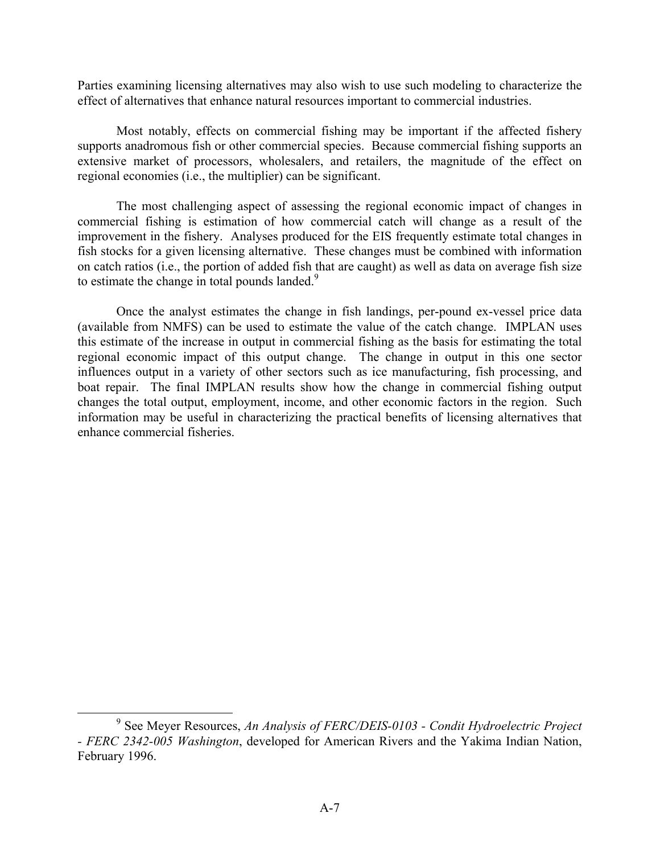Parties examining licensing alternatives may also wish to use such modeling to characterize the effect of alternatives that enhance natural resources important to commercial industries.

Most notably, effects on commercial fishing may be important if the affected fishery supports anadromous fish or other commercial species. Because commercial fishing supports an extensive market of processors, wholesalers, and retailers, the magnitude of the effect on regional economies (i.e., the multiplier) can be significant.

The most challenging aspect of assessing the regional economic impact of changes in commercial fishing is estimation of how commercial catch will change as a result of the improvement in the fishery. Analyses produced for the EIS frequently estimate total changes in fish stocks for a given licensing alternative. These changes must be combined with information on catch ratios (i.e., the portion of added fish that are caught) as well as data on average fish size to estimate the change in total pounds landed. $9$ 

Once the analyst estimates the change in fish landings, per-pound ex-vessel price data (available from NMFS) can be used to estimate the value of the catch change. IMPLAN uses this estimate of the increase in output in commercial fishing as the basis for estimating the total regional economic impact of this output change. The change in output in this one sector influences output in a variety of other sectors such as ice manufacturing, fish processing, and boat repair. The final IMPLAN results show how the change in commercial fishing output changes the total output, employment, income, and other economic factors in the region. Such information may be useful in characterizing the practical benefits of licensing alternatives that enhance commercial fisheries.

 <sup>9</sup> <sup>9</sup> See Meyer Resources, *An Analysis of FERC/DEIS-0103 - Condit Hydroelectric Project - FERC 2342-005 Washington*, developed for American Rivers and the Yakima Indian Nation, February 1996.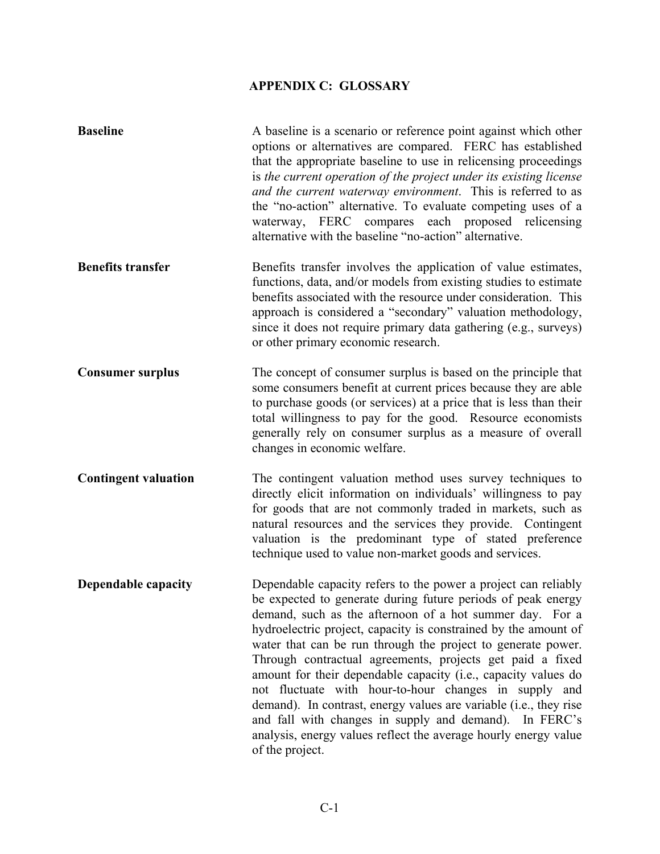# **APPENDIX C: GLOSSARY**

| <b>Baseline</b>             | A baseline is a scenario or reference point against which other<br>options or alternatives are compared. FERC has established<br>that the appropriate baseline to use in relicensing proceedings<br>is the current operation of the project under its existing license<br>and the current waterway environment. This is referred to as<br>the "no-action" alternative. To evaluate competing uses of a<br>waterway, FERC compares each proposed relicensing<br>alternative with the baseline "no-action" alternative.                                                                                                                                                                                                                      |
|-----------------------------|--------------------------------------------------------------------------------------------------------------------------------------------------------------------------------------------------------------------------------------------------------------------------------------------------------------------------------------------------------------------------------------------------------------------------------------------------------------------------------------------------------------------------------------------------------------------------------------------------------------------------------------------------------------------------------------------------------------------------------------------|
| <b>Benefits transfer</b>    | Benefits transfer involves the application of value estimates,<br>functions, data, and/or models from existing studies to estimate<br>benefits associated with the resource under consideration. This<br>approach is considered a "secondary" valuation methodology,<br>since it does not require primary data gathering (e.g., surveys)<br>or other primary economic research.                                                                                                                                                                                                                                                                                                                                                            |
| <b>Consumer surplus</b>     | The concept of consumer surplus is based on the principle that<br>some consumers benefit at current prices because they are able<br>to purchase goods (or services) at a price that is less than their<br>total willingness to pay for the good. Resource economists<br>generally rely on consumer surplus as a measure of overall<br>changes in economic welfare.                                                                                                                                                                                                                                                                                                                                                                         |
| <b>Contingent valuation</b> | The contingent valuation method uses survey techniques to<br>directly elicit information on individuals' willingness to pay<br>for goods that are not commonly traded in markets, such as<br>natural resources and the services they provide. Contingent<br>valuation is the predominant type of stated preference<br>technique used to value non-market goods and services.                                                                                                                                                                                                                                                                                                                                                               |
| <b>Dependable capacity</b>  | Dependable capacity refers to the power a project can reliably<br>be expected to generate during future periods of peak energy<br>demand, such as the afternoon of a hot summer day. For a<br>hydroelectric project, capacity is constrained by the amount of<br>water that can be run through the project to generate power.<br>Through contractual agreements, projects get paid a fixed<br>amount for their dependable capacity (i.e., capacity values do<br>not fluctuate with hour-to-hour changes in supply and<br>demand). In contrast, energy values are variable (i.e., they rise<br>and fall with changes in supply and demand). In FERC's<br>analysis, energy values reflect the average hourly energy value<br>of the project. |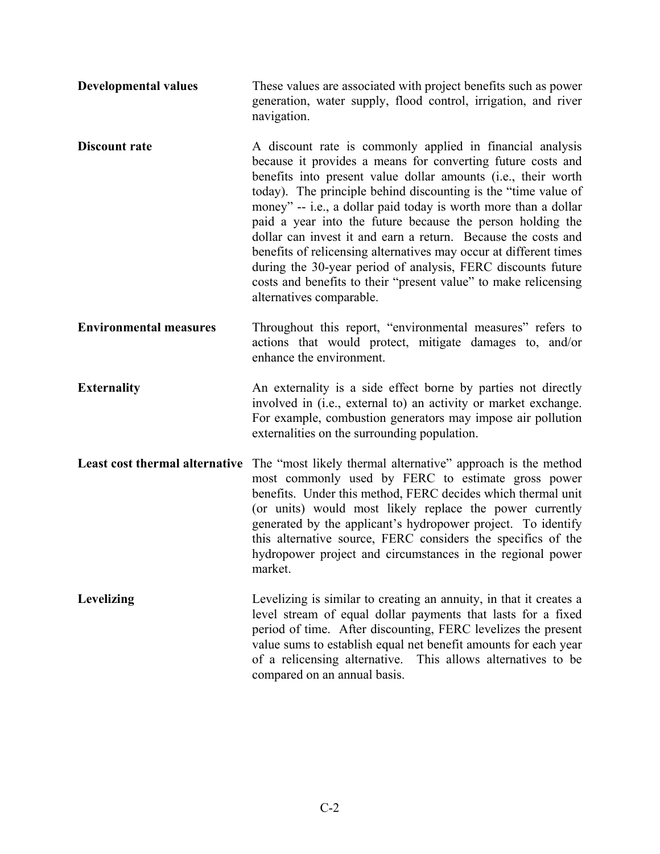- **Developmental values** These values are associated with project benefits such as power generation, water supply, flood control, irrigation, and river navigation.
- **Discount rate** A discount rate is commonly applied in financial analysis because it provides a means for converting future costs and benefits into present value dollar amounts (i.e., their worth today). The principle behind discounting is the "time value of money" -- i.e., a dollar paid today is worth more than a dollar paid a year into the future because the person holding the dollar can invest it and earn a return. Because the costs and benefits of relicensing alternatives may occur at different times during the 30-year period of analysis, FERC discounts future costs and benefits to their "present value" to make relicensing alternatives comparable.
- **Environmental measures** Throughout this report, "environmental measures" refers to actions that would protect, mitigate damages to, and/or enhance the environment.
- **Externality** An externality is a side effect borne by parties not directly involved in (i.e., external to) an activity or market exchange. For example, combustion generators may impose air pollution externalities on the surrounding population.
- Least cost thermal alternative The "most likely thermal alternative" approach is the method most commonly used by FERC to estimate gross power benefits. Under this method, FERC decides which thermal unit (or units) would most likely replace the power currently generated by the applicant's hydropower project. To identify this alternative source, FERC considers the specifics of the hydropower project and circumstances in the regional power market.
- Levelizing Levelizing is similar to creating an annuity, in that it creates a level stream of equal dollar payments that lasts for a fixed period of time. After discounting, FERC levelizes the present value sums to establish equal net benefit amounts for each year of a relicensing alternative. This allows alternatives to be compared on an annual basis.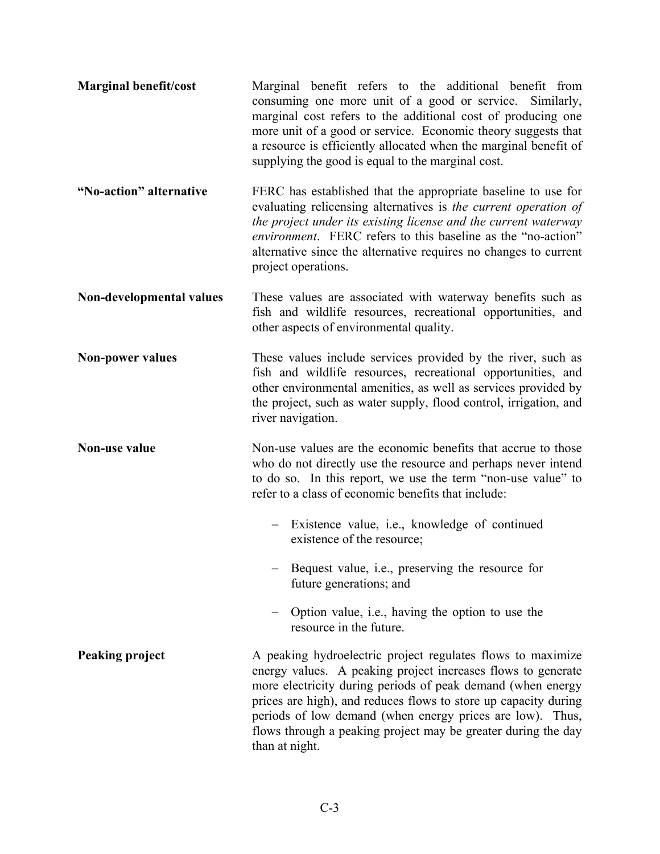| <b>Marginal benefit/cost</b> | Marginal benefit refers to the additional benefit from<br>consuming one more unit of a good or service.<br>Similarly,<br>marginal cost refers to the additional cost of producing one<br>more unit of a good or service. Economic theory suggests that<br>a resource is efficiently allocated when the marginal benefit of<br>supplying the good is equal to the marginal cost.                               |
|------------------------------|---------------------------------------------------------------------------------------------------------------------------------------------------------------------------------------------------------------------------------------------------------------------------------------------------------------------------------------------------------------------------------------------------------------|
| "No-action" alternative      | FERC has established that the appropriate baseline to use for<br>evaluating relicensing alternatives is the current operation of<br>the project under its existing license and the current waterway<br><i>environment.</i> FERC refers to this baseline as the "no-action"<br>alternative since the alternative requires no changes to current<br>project operations.                                         |
| Non-developmental values     | These values are associated with waterway benefits such as<br>fish and wildlife resources, recreational opportunities, and<br>other aspects of environmental quality.                                                                                                                                                                                                                                         |
| <b>Non-power values</b>      | These values include services provided by the river, such as<br>fish and wildlife resources, recreational opportunities, and<br>other environmental amenities, as well as services provided by<br>the project, such as water supply, flood control, irrigation, and<br>river navigation.                                                                                                                      |
| <b>Non-use value</b>         | Non-use values are the economic benefits that accrue to those<br>who do not directly use the resource and perhaps never intend<br>to do so. In this report, we use the term "non-use value" to<br>refer to a class of economic benefits that include:                                                                                                                                                         |
|                              | Existence value, <i>i.e.</i> , knowledge of continued<br>existence of the resource;                                                                                                                                                                                                                                                                                                                           |
|                              | Bequest value, i.e., preserving the resource for<br>future generations; and                                                                                                                                                                                                                                                                                                                                   |
|                              | Option value, <i>i.e.</i> , having the option to use the<br>resource in the future.                                                                                                                                                                                                                                                                                                                           |
| Peaking project              | A peaking hydroelectric project regulates flows to maximize<br>energy values. A peaking project increases flows to generate<br>more electricity during periods of peak demand (when energy<br>prices are high), and reduces flows to store up capacity during<br>periods of low demand (when energy prices are low). Thus,<br>flows through a peaking project may be greater during the day<br>than at night. |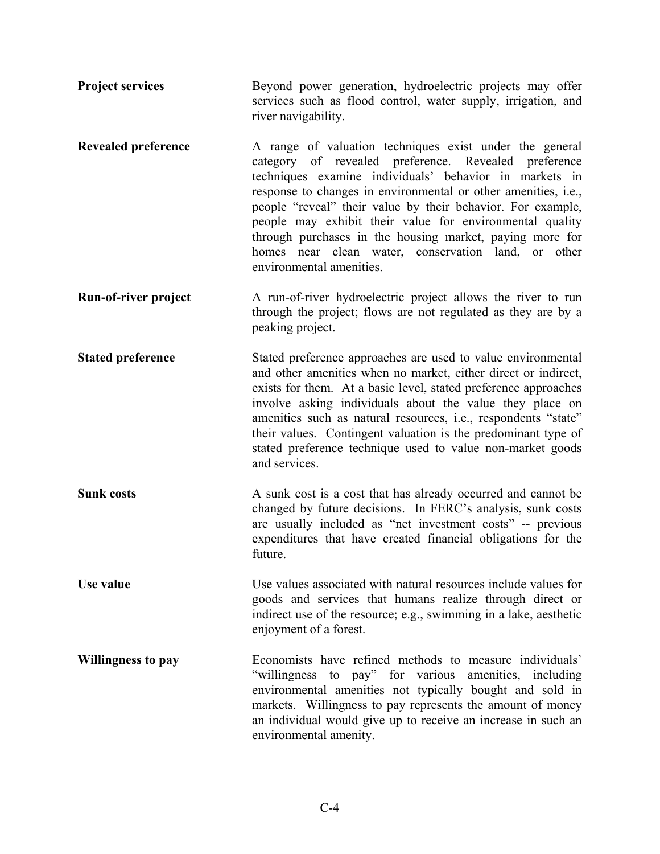- **Project services** Beyond power generation, hydroelectric projects may offer services such as flood control, water supply, irrigation, and river navigability.
- **Revealed preference** A range of valuation techniques exist under the general category of revealed preference. Revealed preference techniques examine individuals' behavior in markets in response to changes in environmental or other amenities, i.e., people "reveal" their value by their behavior. For example, people may exhibit their value for environmental quality through purchases in the housing market, paying more for homes near clean water, conservation land, or other environmental amenities.
- **Run-of-river project** A run-of-river hydroelectric project allows the river to run through the project; flows are not regulated as they are by a peaking project.
- **Stated preference** Stated preference approaches are used to value environmental and other amenities when no market, either direct or indirect, exists for them. At a basic level, stated preference approaches involve asking individuals about the value they place on amenities such as natural resources, i.e., respondents "state" their values. Contingent valuation is the predominant type of stated preference technique used to value non-market goods and services.
- **Sunk costs** A sunk cost is a cost that has already occurred and cannot be changed by future decisions. In FERC's analysis, sunk costs are usually included as "net investment costs" -- previous expenditures that have created financial obligations for the future.
- **Use value** Use values associated with natural resources include values for goods and services that humans realize through direct or indirect use of the resource; e.g., swimming in a lake, aesthetic enjoyment of a forest.
- **Willingness to pay** Economists have refined methods to measure individuals' "willingness to pay" for various amenities, including environmental amenities not typically bought and sold in markets. Willingness to pay represents the amount of money an individual would give up to receive an increase in such an environmental amenity.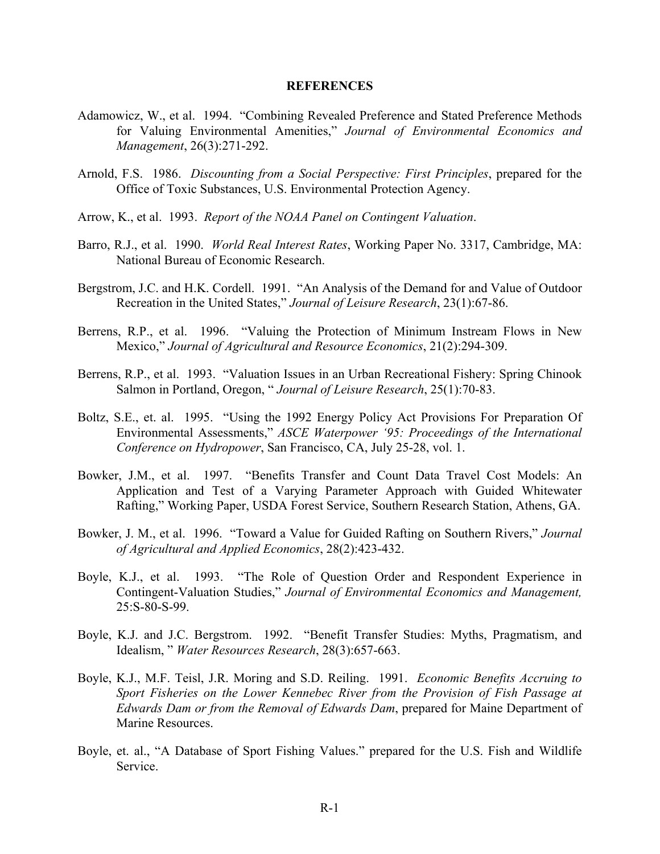#### **REFERENCES**

- Adamowicz, W., et al. 1994. "Combining Revealed Preference and Stated Preference Methods for Valuing Environmental Amenities," *Journal of Environmental Economics and Management*, 26(3):271-292.
- Arnold, F.S. 1986. *Discounting from a Social Perspective: First Principles*, prepared for the Office of Toxic Substances, U.S. Environmental Protection Agency.
- Arrow, K., et al. 1993. *Report of the NOAA Panel on Contingent Valuation*.
- Barro, R.J., et al. 1990. *World Real Interest Rates*, Working Paper No. 3317, Cambridge, MA: National Bureau of Economic Research.
- Bergstrom, J.C. and H.K. Cordell. 1991. "An Analysis of the Demand for and Value of Outdoor Recreation in the United States," *Journal of Leisure Research*, 23(1):67-86.
- Berrens, R.P., et al. 1996. "Valuing the Protection of Minimum Instream Flows in New Mexico," *Journal of Agricultural and Resource Economics*, 21(2):294-309.
- Berrens, R.P., et al. 1993. "Valuation Issues in an Urban Recreational Fishery: Spring Chinook Salmon in Portland, Oregon, " *Journal of Leisure Research*, 25(1):70-83.
- Boltz, S.E., et. al. 1995. "Using the 1992 Energy Policy Act Provisions For Preparation Of Environmental Assessments," *ASCE Waterpower '95: Proceedings of the International Conference on Hydropower*, San Francisco, CA, July 25-28, vol. 1.
- Bowker, J.M., et al. 1997. "Benefits Transfer and Count Data Travel Cost Models: An Application and Test of a Varying Parameter Approach with Guided Whitewater Rafting," Working Paper, USDA Forest Service, Southern Research Station, Athens, GA.
- Bowker, J. M., et al. 1996. "Toward a Value for Guided Rafting on Southern Rivers," *Journal of Agricultural and Applied Economics*, 28(2):423-432.
- Boyle, K.J., et al. 1993. "The Role of Question Order and Respondent Experience in Contingent-Valuation Studies," *Journal of Environmental Economics and Management,*  25:S-80-S-99.
- Boyle, K.J. and J.C. Bergstrom. 1992. "Benefit Transfer Studies: Myths, Pragmatism, and Idealism, " *Water Resources Research*, 28(3):657-663.
- Boyle, K.J., M.F. Teisl, J.R. Moring and S.D. Reiling. 1991. *Economic Benefits Accruing to Sport Fisheries on the Lower Kennebec River from the Provision of Fish Passage at Edwards Dam or from the Removal of Edwards Dam*, prepared for Maine Department of Marine Resources.
- Boyle, et. al., "A Database of Sport Fishing Values." prepared for the U.S. Fish and Wildlife Service.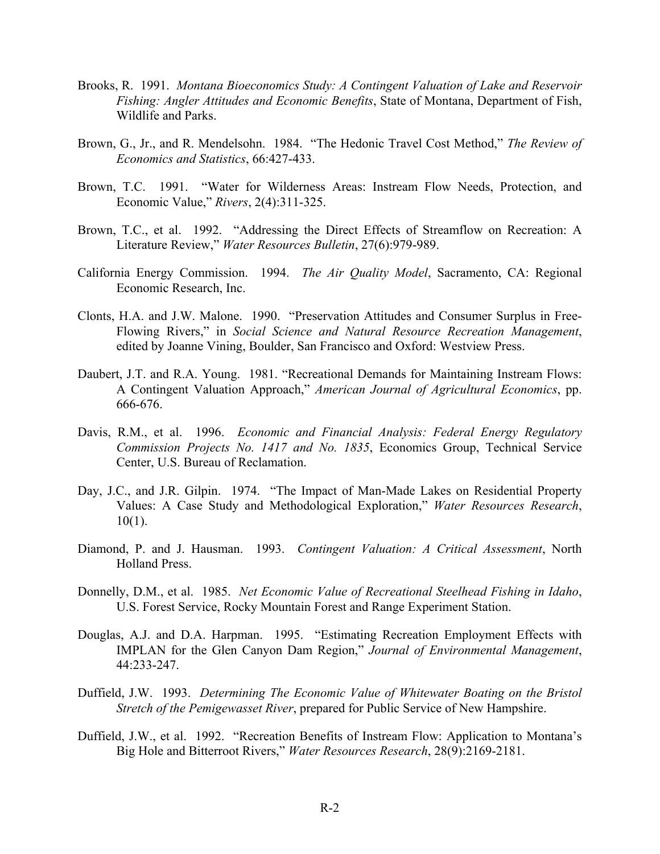- Brooks, R. 1991. *Montana Bioeconomics Study: A Contingent Valuation of Lake and Reservoir Fishing: Angler Attitudes and Economic Benefits*, State of Montana, Department of Fish, Wildlife and Parks.
- Brown, G., Jr., and R. Mendelsohn. 1984. "The Hedonic Travel Cost Method," *The Review of Economics and Statistics*, 66:427-433.
- Brown, T.C. 1991. "Water for Wilderness Areas: Instream Flow Needs, Protection, and Economic Value," *Rivers*, 2(4):311-325.
- Brown, T.C., et al. 1992. "Addressing the Direct Effects of Streamflow on Recreation: A Literature Review," *Water Resources Bulletin*, 27(6):979-989.
- California Energy Commission. 1994. *The Air Quality Model*, Sacramento, CA: Regional Economic Research, Inc.
- Clonts, H.A. and J.W. Malone. 1990. "Preservation Attitudes and Consumer Surplus in Free-Flowing Rivers," in *Social Science and Natural Resource Recreation Management*, edited by Joanne Vining, Boulder, San Francisco and Oxford: Westview Press.
- Daubert, J.T. and R.A. Young. 1981. "Recreational Demands for Maintaining Instream Flows: A Contingent Valuation Approach," *American Journal of Agricultural Economics*, pp. 666-676.
- Davis, R.M., et al. 1996. *Economic and Financial Analysis: Federal Energy Regulatory Commission Projects No. 1417 and No. 1835*, Economics Group, Technical Service Center, U.S. Bureau of Reclamation.
- Day, J.C., and J.R. Gilpin. 1974. "The Impact of Man-Made Lakes on Residential Property Values: A Case Study and Methodological Exploration," *Water Resources Research*,  $10(1)$ .
- Diamond, P. and J. Hausman. 1993. *Contingent Valuation: A Critical Assessment*, North Holland Press.
- Donnelly, D.M., et al. 1985. *Net Economic Value of Recreational Steelhead Fishing in Idaho*, U.S. Forest Service, Rocky Mountain Forest and Range Experiment Station.
- Douglas, A.J. and D.A. Harpman. 1995. "Estimating Recreation Employment Effects with IMPLAN for the Glen Canyon Dam Region," *Journal of Environmental Management*, 44:233-247.
- Duffield, J.W. 1993. *Determining The Economic Value of Whitewater Boating on the Bristol Stretch of the Pemigewasset River*, prepared for Public Service of New Hampshire.
- Duffield, J.W., et al. 1992. "Recreation Benefits of Instream Flow: Application to Montana's Big Hole and Bitterroot Rivers," *Water Resources Research*, 28(9):2169-2181.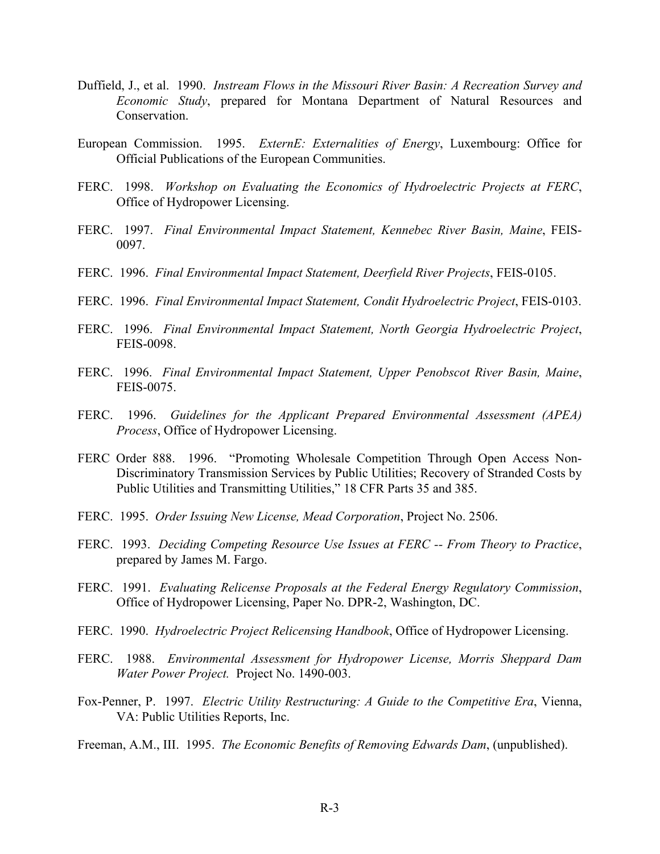- Duffield, J., et al. 1990. *Instream Flows in the Missouri River Basin: A Recreation Survey and Economic Study*, prepared for Montana Department of Natural Resources and **Conservation**
- European Commission. 1995. *ExternE: Externalities of Energy*, Luxembourg: Office for Official Publications of the European Communities.
- FERC. 1998. *Workshop on Evaluating the Economics of Hydroelectric Projects at FERC*, Office of Hydropower Licensing.
- FERC. 1997. *Final Environmental Impact Statement, Kennebec River Basin, Maine*, FEIS-0097.
- FERC. 1996. *Final Environmental Impact Statement, Deerfield River Projects*, FEIS-0105.
- FERC. 1996. *Final Environmental Impact Statement, Condit Hydroelectric Project*, FEIS-0103.
- FERC. 1996. *Final Environmental Impact Statement, North Georgia Hydroelectric Project*, FEIS-0098.
- FERC. 1996. *Final Environmental Impact Statement, Upper Penobscot River Basin, Maine*, FEIS-0075.
- FERC. 1996. *Guidelines for the Applicant Prepared Environmental Assessment (APEA) Process*, Office of Hydropower Licensing.
- FERC Order 888. 1996. "Promoting Wholesale Competition Through Open Access Non-Discriminatory Transmission Services by Public Utilities; Recovery of Stranded Costs by Public Utilities and Transmitting Utilities," 18 CFR Parts 35 and 385.
- FERC. 1995. *Order Issuing New License, Mead Corporation*, Project No. 2506.
- FERC. 1993. *Deciding Competing Resource Use Issues at FERC -- From Theory to Practice*, prepared by James M. Fargo.
- FERC. 1991. *Evaluating Relicense Proposals at the Federal Energy Regulatory Commission*, Office of Hydropower Licensing, Paper No. DPR-2, Washington, DC.
- FERC. 1990. *Hydroelectric Project Relicensing Handbook*, Office of Hydropower Licensing.
- FERC. 1988. *Environmental Assessment for Hydropower License, Morris Sheppard Dam Water Power Project.* Project No. 1490-003.
- Fox-Penner, P. 1997. *Electric Utility Restructuring: A Guide to the Competitive Era*, Vienna, VA: Public Utilities Reports, Inc.
- Freeman, A.M., III. 1995. *The Economic Benefits of Removing Edwards Dam*, (unpublished).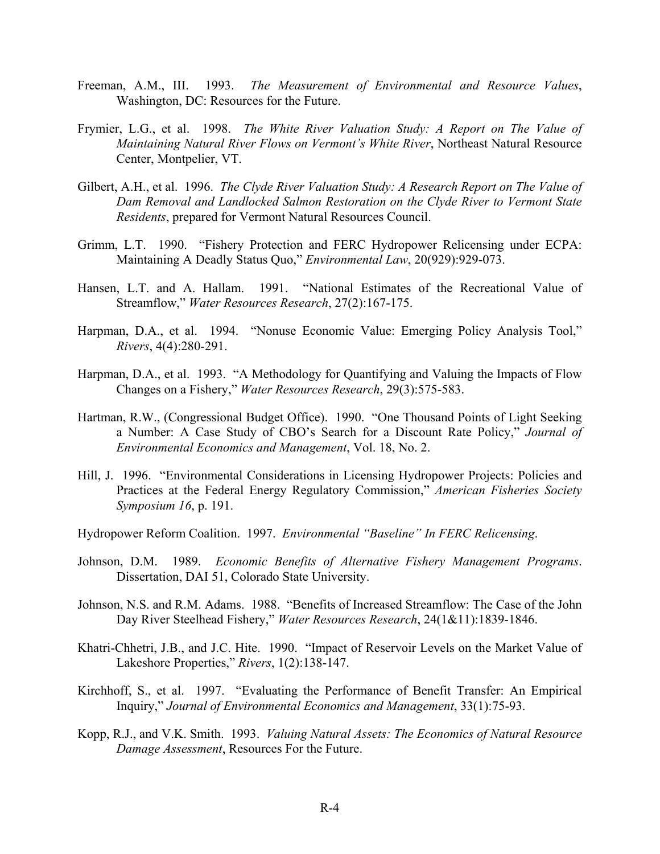- Freeman, A.M., III. 1993. *The Measurement of Environmental and Resource Values*, Washington, DC: Resources for the Future.
- Frymier, L.G., et al. 1998. *The White River Valuation Study: A Report on The Value of Maintaining Natural River Flows on Vermont's White River*, Northeast Natural Resource Center, Montpelier, VT.
- Gilbert, A.H., et al. 1996. *The Clyde River Valuation Study: A Research Report on The Value of Dam Removal and Landlocked Salmon Restoration on the Clyde River to Vermont State Residents*, prepared for Vermont Natural Resources Council.
- Grimm, L.T. 1990. "Fishery Protection and FERC Hydropower Relicensing under ECPA: Maintaining A Deadly Status Quo," *Environmental Law*, 20(929):929-073.
- Hansen, L.T. and A. Hallam. 1991. "National Estimates of the Recreational Value of Streamflow," *Water Resources Research*, 27(2):167-175.
- Harpman, D.A., et al. 1994. "Nonuse Economic Value: Emerging Policy Analysis Tool," *Rivers*, 4(4):280-291.
- Harpman, D.A., et al. 1993. "A Methodology for Quantifying and Valuing the Impacts of Flow Changes on a Fishery," *Water Resources Research*, 29(3):575-583.
- Hartman, R.W., (Congressional Budget Office). 1990. "One Thousand Points of Light Seeking a Number: A Case Study of CBO's Search for a Discount Rate Policy," *Journal of Environmental Economics and Management*, Vol. 18, No. 2.
- Hill, J. 1996. "Environmental Considerations in Licensing Hydropower Projects: Policies and Practices at the Federal Energy Regulatory Commission," *American Fisheries Society Symposium 16*, p. 191.

Hydropower Reform Coalition. 1997. *Environmental "Baseline" In FERC Relicensing*.

- Johnson, D.M. 1989. *Economic Benefits of Alternative Fishery Management Programs*. Dissertation, DAI 51, Colorado State University.
- Johnson, N.S. and R.M. Adams. 1988. "Benefits of Increased Streamflow: The Case of the John Day River Steelhead Fishery," *Water Resources Research*, 24(1&11):1839-1846.
- Khatri-Chhetri, J.B., and J.C. Hite. 1990. "Impact of Reservoir Levels on the Market Value of Lakeshore Properties," *Rivers*, 1(2):138-147.
- Kirchhoff, S., et al. 1997. "Evaluating the Performance of Benefit Transfer: An Empirical Inquiry," *Journal of Environmental Economics and Management*, 33(1):75-93.
- Kopp, R.J., and V.K. Smith. 1993. *Valuing Natural Assets: The Economics of Natural Resource Damage Assessment*, Resources For the Future.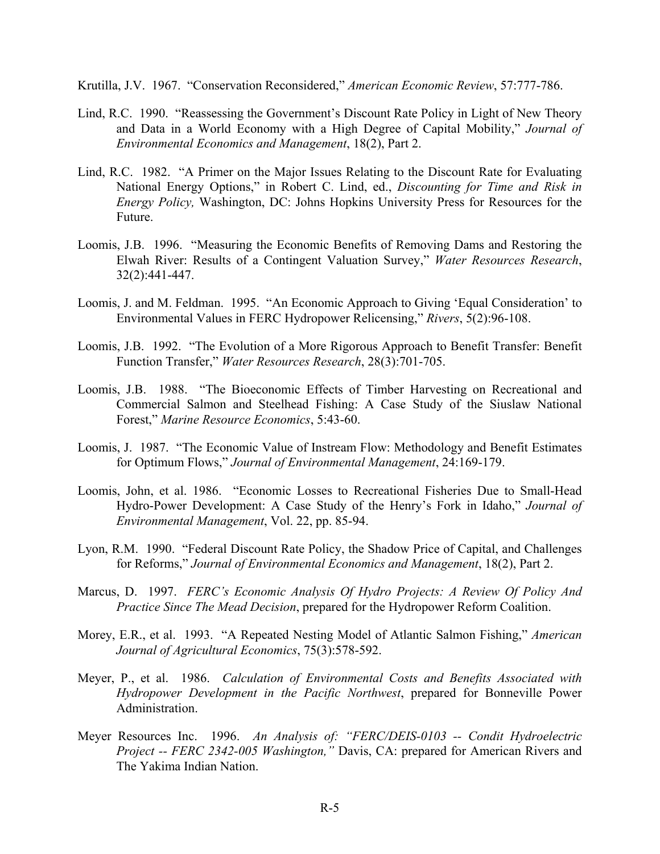Krutilla, J.V. 1967. "Conservation Reconsidered," *American Economic Review*, 57:777-786.

- Lind, R.C. 1990. "Reassessing the Government's Discount Rate Policy in Light of New Theory and Data in a World Economy with a High Degree of Capital Mobility," *Journal of Environmental Economics and Management*, 18(2), Part 2.
- Lind, R.C. 1982. "A Primer on the Major Issues Relating to the Discount Rate for Evaluating National Energy Options," in Robert C. Lind, ed., *Discounting for Time and Risk in Energy Policy,* Washington, DC: Johns Hopkins University Press for Resources for the Future.
- Loomis, J.B. 1996. "Measuring the Economic Benefits of Removing Dams and Restoring the Elwah River: Results of a Contingent Valuation Survey," *Water Resources Research*, 32(2):441-447.
- Loomis, J. and M. Feldman. 1995. "An Economic Approach to Giving 'Equal Consideration' to Environmental Values in FERC Hydropower Relicensing," *Rivers*, 5(2):96-108.
- Loomis, J.B. 1992. "The Evolution of a More Rigorous Approach to Benefit Transfer: Benefit Function Transfer," *Water Resources Research*, 28(3):701-705.
- Loomis, J.B. 1988. "The Bioeconomic Effects of Timber Harvesting on Recreational and Commercial Salmon and Steelhead Fishing: A Case Study of the Siuslaw National Forest," *Marine Resource Economics*, 5:43-60.
- Loomis, J. 1987. "The Economic Value of Instream Flow: Methodology and Benefit Estimates for Optimum Flows," *Journal of Environmental Management*, 24:169-179.
- Loomis, John, et al. 1986. "Economic Losses to Recreational Fisheries Due to Small-Head Hydro-Power Development: A Case Study of the Henry's Fork in Idaho," *Journal of Environmental Management*, Vol. 22, pp. 85-94.
- Lyon, R.M. 1990. "Federal Discount Rate Policy, the Shadow Price of Capital, and Challenges for Reforms," *Journal of Environmental Economics and Management*, 18(2), Part 2.
- Marcus, D. 1997. *FERC's Economic Analysis Of Hydro Projects: A Review Of Policy And Practice Since The Mead Decision*, prepared for the Hydropower Reform Coalition.
- Morey, E.R., et al. 1993. "A Repeated Nesting Model of Atlantic Salmon Fishing," *American Journal of Agricultural Economics*, 75(3):578-592.
- Meyer, P., et al. 1986. *Calculation of Environmental Costs and Benefits Associated with Hydropower Development in the Pacific Northwest*, prepared for Bonneville Power Administration.
- Meyer Resources Inc. 1996. *An Analysis of: "FERC/DEIS-0103 -- Condit Hydroelectric Project -- FERC 2342-005 Washington,"* Davis, CA: prepared for American Rivers and The Yakima Indian Nation.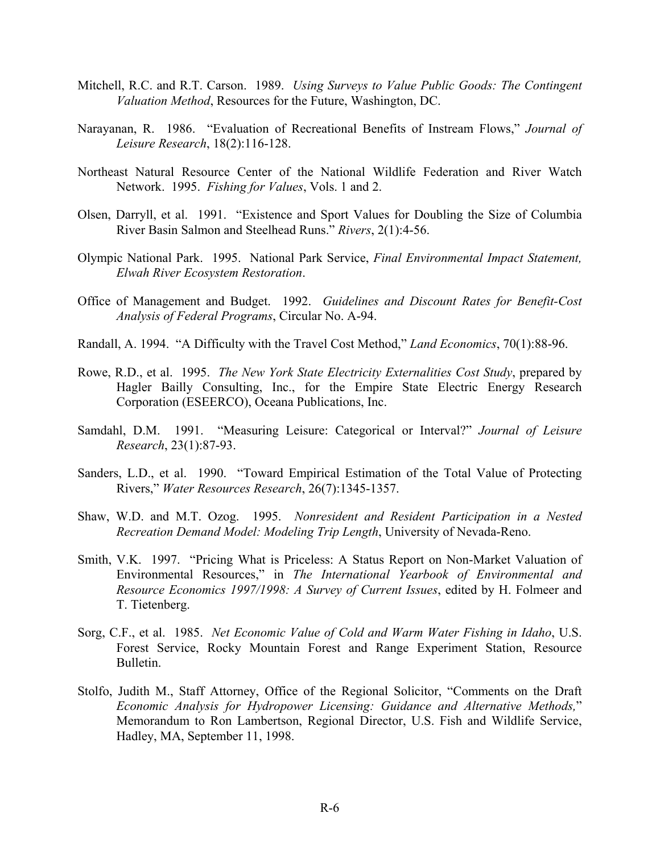- Mitchell, R.C. and R.T. Carson. 1989. *Using Surveys to Value Public Goods: The Contingent Valuation Method*, Resources for the Future, Washington, DC.
- Narayanan, R. 1986. "Evaluation of Recreational Benefits of Instream Flows," *Journal of Leisure Research*, 18(2):116-128.
- Northeast Natural Resource Center of the National Wildlife Federation and River Watch Network. 1995. *Fishing for Values*, Vols. 1 and 2.
- Olsen, Darryll, et al. 1991. "Existence and Sport Values for Doubling the Size of Columbia River Basin Salmon and Steelhead Runs." *Rivers*, 2(1):4-56.
- Olympic National Park. 1995. National Park Service, *Final Environmental Impact Statement, Elwah River Ecosystem Restoration*.
- Office of Management and Budget. 1992. *Guidelines and Discount Rates for Benefit-Cost Analysis of Federal Programs*, Circular No. A-94.
- Randall, A. 1994. "A Difficulty with the Travel Cost Method," *Land Economics*, 70(1):88-96.
- Rowe, R.D., et al. 1995. *The New York State Electricity Externalities Cost Study*, prepared by Hagler Bailly Consulting, Inc., for the Empire State Electric Energy Research Corporation (ESEERCO), Oceana Publications, Inc.
- Samdahl, D.M. 1991. "Measuring Leisure: Categorical or Interval?" *Journal of Leisure Research*, 23(1):87-93.
- Sanders, L.D., et al. 1990. "Toward Empirical Estimation of the Total Value of Protecting Rivers," *Water Resources Research*, 26(7):1345-1357.
- Shaw, W.D. and M.T. Ozog. 1995. *Nonresident and Resident Participation in a Nested Recreation Demand Model: Modeling Trip Length*, University of Nevada-Reno.
- Smith, V.K. 1997. "Pricing What is Priceless: A Status Report on Non-Market Valuation of Environmental Resources," in *The International Yearbook of Environmental and Resource Economics 1997/1998: A Survey of Current Issues*, edited by H. Folmeer and T. Tietenberg.
- Sorg, C.F., et al. 1985. *Net Economic Value of Cold and Warm Water Fishing in Idaho*, U.S. Forest Service, Rocky Mountain Forest and Range Experiment Station, Resource Bulletin.
- Stolfo, Judith M., Staff Attorney, Office of the Regional Solicitor, "Comments on the Draft *Economic Analysis for Hydropower Licensing: Guidance and Alternative Methods,*" Memorandum to Ron Lambertson, Regional Director, U.S. Fish and Wildlife Service, Hadley, MA, September 11, 1998.